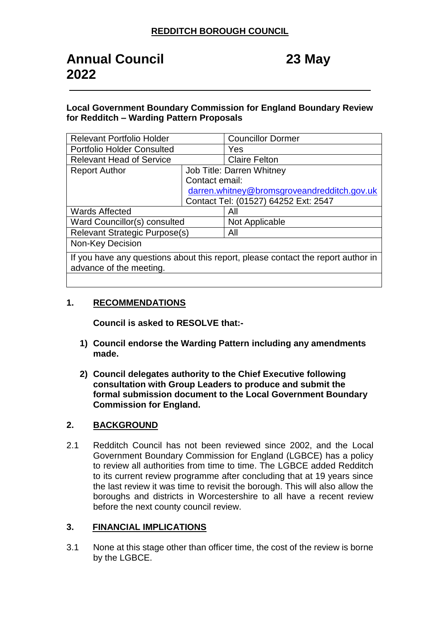### **Local Government Boundary Commission for England Boundary Review for Redditch – Warding Pattern Proposals**

| <b>Relevant Portfolio Holder</b>                                                 |                                             | <b>Councillor Dormer</b> |
|----------------------------------------------------------------------------------|---------------------------------------------|--------------------------|
| <b>Portfolio Holder Consulted</b>                                                |                                             | Yes                      |
| <b>Relevant Head of Service</b>                                                  |                                             | <b>Claire Felton</b>     |
| <b>Report Author</b>                                                             | Job Title: Darren Whitney                   |                          |
|                                                                                  | Contact email:                              |                          |
|                                                                                  | darren.whitney@bromsgroveandredditch.gov.uk |                          |
|                                                                                  | Contact Tel: (01527) 64252 Ext: 2547        |                          |
| <b>Wards Affected</b>                                                            |                                             | All                      |
| Ward Councillor(s) consulted                                                     |                                             | Not Applicable           |
| <b>Relevant Strategic Purpose(s)</b>                                             |                                             | All                      |
| Non-Key Decision                                                                 |                                             |                          |
| If you have any questions about this report, please contact the report author in |                                             |                          |
| advance of the meeting.                                                          |                                             |                          |
|                                                                                  |                                             |                          |

## **1. RECOMMENDATIONS**

**Council is asked to RESOLVE that:-**

- **1) Council endorse the Warding Pattern including any amendments made.**
- **2) Council delegates authority to the Chief Executive following consultation with Group Leaders to produce and submit the formal submission document to the Local Government Boundary Commission for England.**

## **2. BACKGROUND**

2.1 Redditch Council has not been reviewed since 2002, and the Local Government Boundary Commission for England (LGBCE) has a policy to review all authorities from time to time. The LGBCE added Redditch to its current review programme after concluding that at 19 years since the last review it was time to revisit the borough. This will also allow the boroughs and districts in Worcestershire to all have a recent review before the next county council review.

## **3. FINANCIAL IMPLICATIONS**

3.1 None at this stage other than officer time, the cost of the review is borne by the LGBCE.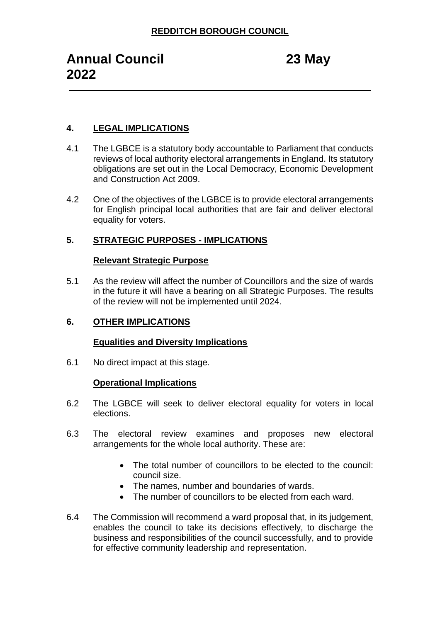# **4. LEGAL IMPLICATIONS**

- 4.1 The LGBCE is a statutory body accountable to Parliament that conducts reviews of local authority electoral arrangements in England. Its statutory obligations are set out in the Local Democracy, Economic Development and Construction Act 2009.
- 4.2 One of the objectives of the LGBCE is to provide electoral arrangements for English principal local authorities that are fair and deliver electoral equality for voters.

## **5. STRATEGIC PURPOSES - IMPLICATIONS**

#### **Relevant Strategic Purpose**

5.1 As the review will affect the number of Councillors and the size of wards in the future it will have a bearing on all Strategic Purposes. The results of the review will not be implemented until 2024.

#### **6. OTHER IMPLICATIONS**

#### **Equalities and Diversity Implications**

6.1 No direct impact at this stage.

#### **Operational Implications**

- 6.2 The LGBCE will seek to deliver electoral equality for voters in local elections.
- 6.3 The electoral review examines and proposes new electoral arrangements for the whole local authority. These are:
	- The total number of councillors to be elected to the council: council size.
	- The names, number and boundaries of wards.
	- The number of councillors to be elected from each ward.
- 6.4 The Commission will recommend a ward proposal that, in its judgement, enables the council to take its decisions effectively, to discharge the business and responsibilities of the council successfully, and to provide for effective community leadership and representation.